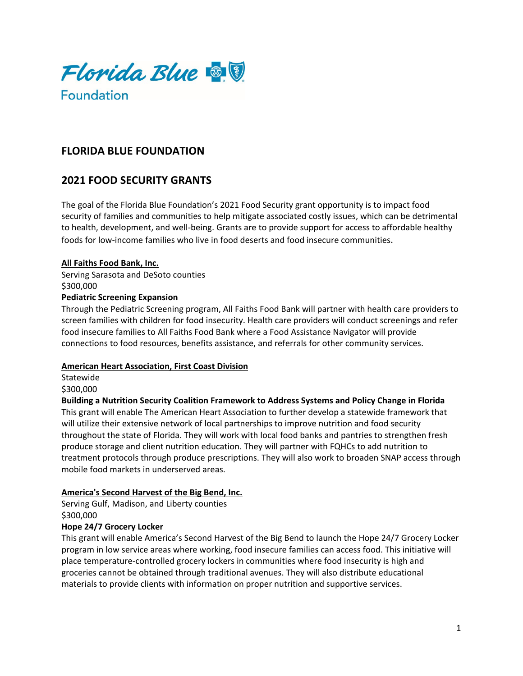

# **FLORIDA BLUE FOUNDATION**

# **2021 FOOD SECURITY GRANTS**

The goal of the Florida Blue Foundation's 2021 Food Security grant opportunity is to impact food security of families and communities to help mitigate associated costly issues, which can be detrimental to health, development, and well-being. Grants are to provide support for access to affordable healthy foods for low-income families who live in food deserts and food insecure communities.

#### **All Faiths Food Bank, Inc.**

Serving Sarasota and DeSoto counties \$300,000 **Pediatric Screening Expansion**

Through the Pediatric Screening program, All Faiths Food Bank will partner with health care providers to screen families with children for food insecurity. Health care providers will conduct screenings and refer food insecure families to All Faiths Food Bank where a Food Assistance Navigator will provide connections to food resources, benefits assistance, and referrals for other community services.

#### **American Heart Association, First Coast Division**

Statewide \$300,000

**Building a Nutrition Security Coalition Framework to Address Systems and Policy Change in Florida** This grant will enable The American Heart Association to further develop a statewide framework that will utilize their extensive network of local partnerships to improve nutrition and food security throughout the state of Florida. They will work with local food banks and pantries to strengthen fresh produce storage and client nutrition education. They will partner with FQHCs to add nutrition to treatment protocols through produce prescriptions. They will also work to broaden SNAP access through mobile food markets in underserved areas.

# **America's Second Harvest of the Big Bend, Inc.**

Serving Gulf, Madison, and Liberty counties \$300,000

# **Hope 24/7 Grocery Locker**

This grant will enable America's Second Harvest of the Big Bend to launch the Hope 24/7 Grocery Locker program in low service areas where working, food insecure families can access food. This initiative will place temperature-controlled grocery lockers in communities where food insecurity is high and groceries cannot be obtained through traditional avenues. They will also distribute educational materials to provide clients with information on proper nutrition and supportive services.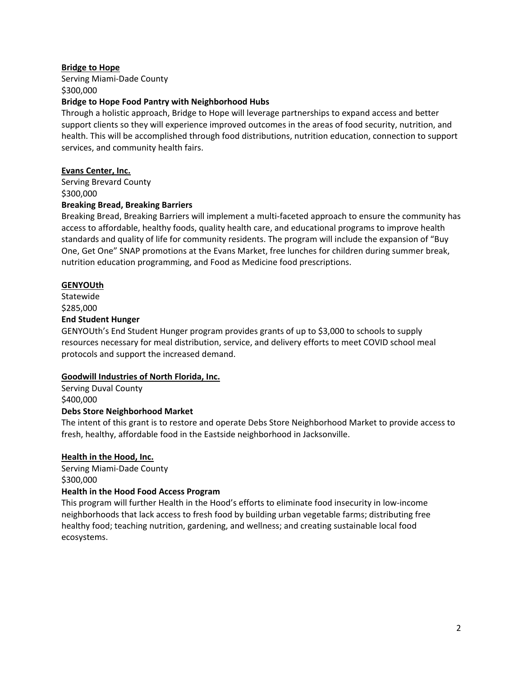## **Bridge to Hope**

Serving Miami-Dade County \$300,000

## **Bridge to Hope Food Pantry with Neighborhood Hubs**

Through a holistic approach, Bridge to Hope will leverage partnerships to expand access and better support clients so they will experience improved outcomes in the areas of food security, nutrition, and health. This will be accomplished through food distributions, nutrition education, connection to support services, and community health fairs.

## **Evans Center, Inc.**

Serving Brevard County \$300,000

#### **Breaking Bread, Breaking Barriers**

Breaking Bread, Breaking Barriers will implement a multi-faceted approach to ensure the community has access to affordable, healthy foods, quality health care, and educational programs to improve health standards and quality of life for community residents. The program will include the expansion of "Buy One, Get One" SNAP promotions at the Evans Market, free lunches for children during summer break, nutrition education programming, and Food as Medicine food prescriptions.

# **GENYOUth**

Statewide \$285,000 **End Student Hunger**

GENYOUth's End Student Hunger program provides grants of up to \$3,000 to schools to supply resources necessary for meal distribution, service, and delivery efforts to meet COVID school meal protocols and support the increased demand.

# **Goodwill Industries of North Florida, Inc.**

Serving Duval County \$400,000

#### **Debs Store Neighborhood Market**

The intent of this grant is to restore and operate Debs Store Neighborhood Market to provide access to fresh, healthy, affordable food in the Eastside neighborhood in Jacksonville.

#### **Health in the Hood, Inc.**

Serving Miami-Dade County \$300,000

#### **Health in the Hood Food Access Program**

This program will further Health in the Hood's efforts to eliminate food insecurity in low-income neighborhoods that lack access to fresh food by building urban vegetable farms; distributing free healthy food; teaching nutrition, gardening, and wellness; and creating sustainable local food ecosystems.